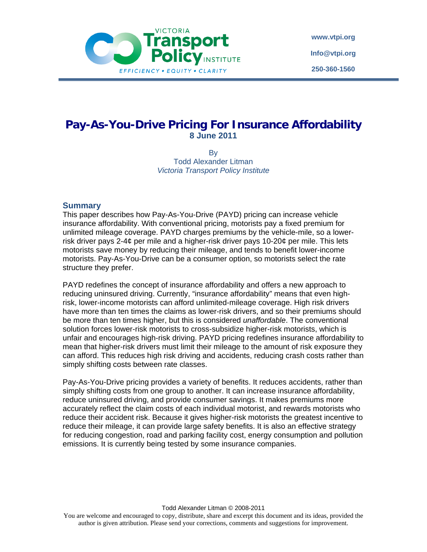

**www.vtpi.org Info@vtpi.org 250-360-1560**

# **Pay-As-You-Drive Pricing For Insurance Affordability 8 June 2011**

By Todd Alexander Litman *Victoria Transport Policy Institute* 

# **Summary**

This paper describes how Pay-As-You-Drive (PAYD) pricing can increase vehicle insurance affordability. With conventional pricing, motorists pay a fixed premium for unlimited mileage coverage. PAYD charges premiums by the vehicle-mile, so a lowerrisk driver pays 2-4¢ per mile and a higher-risk driver pays 10-20¢ per mile. This lets motorists save money by reducing their mileage, and tends to benefit lower-income motorists. Pay-As-You-Drive can be a consumer option, so motorists select the rate structure they prefer.

PAYD redefines the concept of insurance affordability and offers a new approach to reducing uninsured driving. Currently, "insurance affordability" means that even highrisk, lower-income motorists can afford unlimited-mileage coverage. High risk drivers have more than ten times the claims as lower-risk drivers, and so their premiums should be more than ten times higher, but this is considered *unaffordable*. The conventional solution forces lower-risk motorists to cross-subsidize higher-risk motorists, which is unfair and encourages high-risk driving. PAYD pricing redefines insurance affordability to mean that higher-risk drivers must limit their mileage to the amount of risk exposure they can afford. This reduces high risk driving and accidents, reducing crash costs rather than simply shifting costs between rate classes.

Pay-As-You-Drive pricing provides a variety of benefits. It reduces accidents, rather than simply shifting costs from one group to another. It can increase insurance affordability, reduce uninsured driving, and provide consumer savings. It makes premiums more accurately reflect the claim costs of each individual motorist, and rewards motorists who reduce their accident risk. Because it gives higher-risk motorists the greatest incentive to reduce their mileage, it can provide large safety benefits. It is also an effective strategy for reducing congestion, road and parking facility cost, energy consumption and pollution emissions. It is currently being tested by some insurance companies.

Todd Alexander Litman © 2008-2011

You are welcome and encouraged to copy, distribute, share and excerpt this document and its ideas, provided the author is given attribution. Please send your corrections, comments and suggestions for improvement.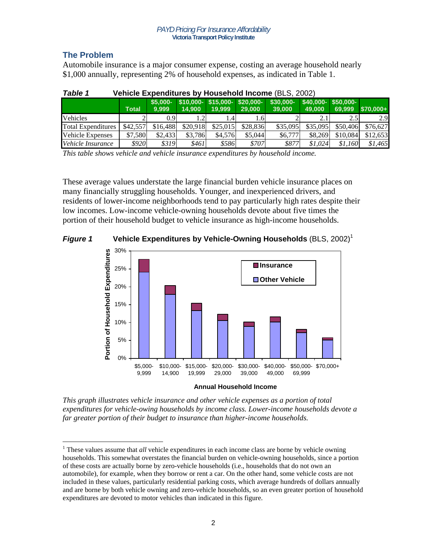# **The Problem**

 $\overline{a}$ 

Automobile insurance is a major consumer expense, costing an average household nearly \$1,000 annually, representing 2% of household expenses, as indicated in Table 1.

| Ianic I<br><u>VEINCIE LADENUILUIES DY HOUSENOIU MICONIE (DLO, ZUUZ)</u> |          |                    |                                           |            |          |                      |          |                                 |            |  |
|-------------------------------------------------------------------------|----------|--------------------|-------------------------------------------|------------|----------|----------------------|----------|---------------------------------|------------|--|
|                                                                         | Total    | $$5.000-$<br>9.999 | $$10,000 - $15,000 - $20,000 -$<br>14.900 | 19.999     | 29.000   | $$30,000-$<br>39.000 | 49,000   | $$40.000 - $50.000 -$<br>69.999 | $$70.000+$ |  |
| <b>Vehicles</b>                                                         |          | 0.9                | $\cdot$ .2                                | $\cdot$ .4 | L.6      |                      |          | 2.5                             | 2.9        |  |
| <b>Total Expenditures</b>                                               | \$42,557 | \$16,488           | \$20.918                                  | \$25.015   | \$28,836 | \$35,095             | \$35,095 | \$50,406                        | \$76,627   |  |
| <b>Vehicle Expenses</b>                                                 | \$7,580  | \$2,433            | \$3.786                                   | \$4.576    | \$5,044  | \$6,777              | \$8,269  | \$10,084                        | \$12,653   |  |
| Vehicle Insurance                                                       | \$920    | \$319              | \$461                                     | \$586      | \$707    | \$877                | \$1.024  | \$1.160                         | \$1,465    |  |

| Vehicle Expenditures by Household Income (BLS, 2002)<br>Table 1 |
|-----------------------------------------------------------------|
|-----------------------------------------------------------------|

*This table shows vehicle and vehicle insurance expenditures by household income.* 

These average values understate the large financial burden vehicle insurance places on many financially struggling households. Younger, and inexperienced drivers, and residents of lower-income neighborhoods tend to pay particularly high rates despite their low incomes. Low-income vehicle-owning households devote about five times the portion of their household budget to vehicle insurance as high-income households.

# **Figure 1** Vehicle Expenditures by Vehicle-Owning Households (BLS, 2002)<sup>1</sup>



*This graph illustrates vehicle insurance and other vehicle expenses as a portion of total expenditures for vehicle-owing households by income class. Lower-income households devote a far greater portion of their budget to insurance than higher-income households.* 

<sup>&</sup>lt;sup>1</sup> These values assume that *all* vehicle expenditures in each income class are borne by vehicle owning households. This somewhat overstates the financial burden on vehicle-owning households, since a portion of these costs are actually borne by zero-vehicle households (i.e., households that do not own an automobile), for example, when they borrow or rent a car. On the other hand, some vehicle costs are not included in these values, particularly residential parking costs, which average hundreds of dollars annually and are borne by both vehicle owning and zero-vehicle households, so an even greater portion of household expenditures are devoted to motor vehicles than indicated in this figure.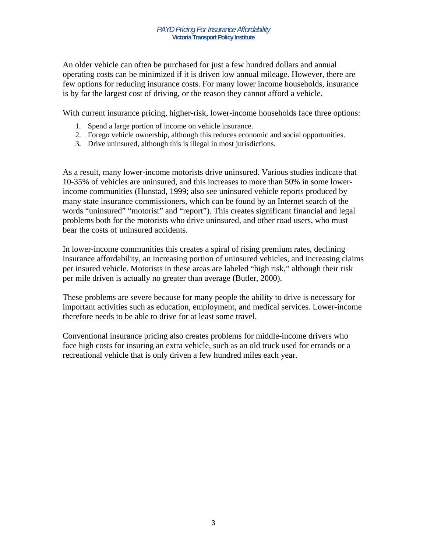An older vehicle can often be purchased for just a few hundred dollars and annual operating costs can be minimized if it is driven low annual mileage. However, there are few options for reducing insurance costs. For many lower income households, insurance is by far the largest cost of driving, or the reason they cannot afford a vehicle.

With current insurance pricing, higher-risk, lower-income households face three options:

- 1. Spend a large portion of income on vehicle insurance.
- 2. Forego vehicle ownership, although this reduces economic and social opportunities.
- 3. Drive uninsured, although this is illegal in most jurisdictions.

As a result, many lower-income motorists drive uninsured. Various studies indicate that 10-35% of vehicles are uninsured, and this increases to more than 50% in some lowerincome communities (Hunstad, 1999; also see uninsured vehicle reports produced by many state insurance commissioners, which can be found by an Internet search of the words "uninsured" "motorist" and "report"). This creates significant financial and legal problems both for the motorists who drive uninsured, and other road users, who must bear the costs of uninsured accidents.

In lower-income communities this creates a spiral of rising premium rates, declining insurance affordability, an increasing portion of uninsured vehicles, and increasing claims per insured vehicle. Motorists in these areas are labeled "high risk," although their risk per mile driven is actually no greater than average (Butler, 2000).

These problems are severe because for many people the ability to drive is necessary for important activities such as education, employment, and medical services. Lower-income therefore needs to be able to drive for at least some travel.

Conventional insurance pricing also creates problems for middle-income drivers who face high costs for insuring an extra vehicle, such as an old truck used for errands or a recreational vehicle that is only driven a few hundred miles each year.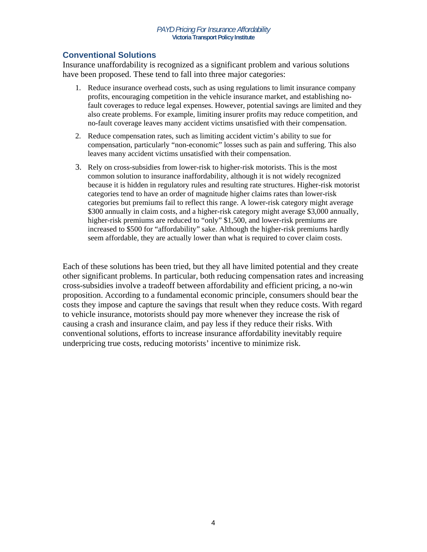# **Conventional Solutions**

Insurance unaffordability is recognized as a significant problem and various solutions have been proposed. These tend to fall into three major categories:

- 1. Reduce insurance overhead costs, such as using regulations to limit insurance company profits, encouraging competition in the vehicle insurance market, and establishing nofault coverages to reduce legal expenses. However, potential savings are limited and they also create problems. For example, limiting insurer profits may reduce competition, and no-fault coverage leaves many accident victims unsatisfied with their compensation.
- 2. Reduce compensation rates, such as limiting accident victim's ability to sue for compensation, particularly "non-economic" losses such as pain and suffering. This also leaves many accident victims unsatisfied with their compensation.
- 3. Rely on cross-subsidies from lower-risk to higher-risk motorists. This is the most common solution to insurance inaffordability, although it is not widely recognized because it is hidden in regulatory rules and resulting rate structures. Higher-risk motorist categories tend to have an order of magnitude higher claims rates than lower-risk categories but premiums fail to reflect this range. A lower-risk category might average \$300 annually in claim costs, and a higher-risk category might average \$3,000 annually, higher-risk premiums are reduced to "only" \$1,500, and lower-risk premiums are increased to \$500 for "affordability" sake. Although the higher-risk premiums hardly seem affordable, they are actually lower than what is required to cover claim costs.

Each of these solutions has been tried, but they all have limited potential and they create other significant problems. In particular, both reducing compensation rates and increasing cross-subsidies involve a tradeoff between affordability and efficient pricing, a no-win proposition. According to a fundamental economic principle, consumers should bear the costs they impose and capture the savings that result when they reduce costs. With regard to vehicle insurance, motorists should pay more whenever they increase the risk of causing a crash and insurance claim, and pay less if they reduce their risks. With conventional solutions, efforts to increase insurance affordability inevitably require underpricing true costs, reducing motorists' incentive to minimize risk.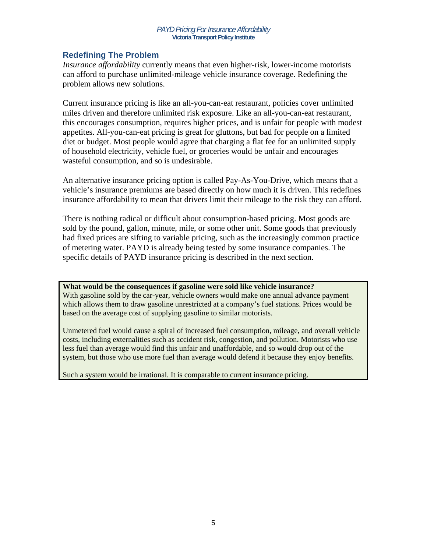# **Redefining The Problem**

*Insurance affordability* currently means that even higher-risk, lower-income motorists can afford to purchase unlimited-mileage vehicle insurance coverage. Redefining the problem allows new solutions.

Current insurance pricing is like an all-you-can-eat restaurant, policies cover unlimited miles driven and therefore unlimited risk exposure. Like an all-you-can-eat restaurant, this encourages consumption, requires higher prices, and is unfair for people with modest appetites. All-you-can-eat pricing is great for gluttons, but bad for people on a limited diet or budget. Most people would agree that charging a flat fee for an unlimited supply of household electricity, vehicle fuel, or groceries would be unfair and encourages wasteful consumption, and so is undesirable.

An alternative insurance pricing option is called Pay-As-You-Drive, which means that a vehicle's insurance premiums are based directly on how much it is driven. This redefines insurance affordability to mean that drivers limit their mileage to the risk they can afford.

There is nothing radical or difficult about consumption-based pricing. Most goods are sold by the pound, gallon, minute, mile, or some other unit. Some goods that previously had fixed prices are sifting to variable pricing, such as the increasingly common practice of metering water. PAYD is already being tested by some insurance companies. The specific details of PAYD insurance pricing is described in the next section.

**What would be the consequences if gasoline were sold like vehicle insurance?**  With gasoline sold by the car-year, vehicle owners would make one annual advance payment which allows them to draw gasoline unrestricted at a company's fuel stations. Prices would be

based on the average cost of supplying gasoline to similar motorists.

Unmetered fuel would cause a spiral of increased fuel consumption, mileage, and overall vehicle costs, including externalities such as accident risk, congestion, and pollution. Motorists who use less fuel than average would find this unfair and unaffordable, and so would drop out of the system, but those who use more fuel than average would defend it because they enjoy benefits.

Such a system would be irrational. It is comparable to current insurance pricing.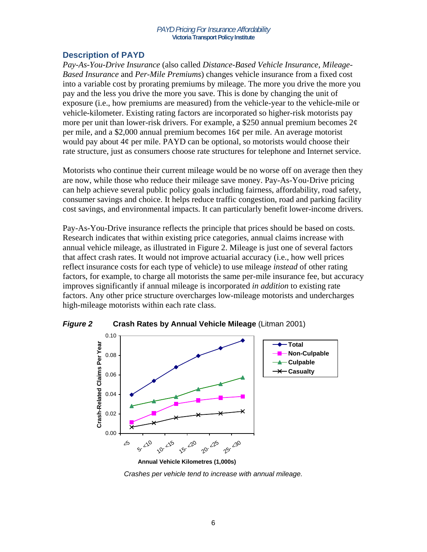# **Description of PAYD**

*Pay-As-You-Drive Insurance* (also called *Distance-Based Vehicle Insurance*, *Mileage-Based Insurance* and *Per-Mile Premiums*) changes vehicle insurance from a fixed cost into a variable cost by prorating premiums by mileage. The more you drive the more you pay and the less you drive the more you save. This is done by changing the unit of exposure (i.e., how premiums are measured) from the vehicle-year to the vehicle-mile or vehicle-kilometer. Existing rating factors are incorporated so higher-risk motorists pay more per unit than lower-risk drivers. For example, a \$250 annual premium becomes  $2\phi$ per mile, and a \$2,000 annual premium becomes 16¢ per mile. An average motorist would pay about  $4\phi$  per mile. PAYD can be optional, so motorists would choose their rate structure, just as consumers choose rate structures for telephone and Internet service.

Motorists who continue their current mileage would be no worse off on average then they are now, while those who reduce their mileage save money. Pay-As-You-Drive pricing can help achieve several public policy goals including fairness, affordability, road safety, consumer savings and choice. It helps reduce traffic congestion, road and parking facility cost savings, and environmental impacts. It can particularly benefit lower-income drivers.

Pay-As-You-Drive insurance reflects the principle that prices should be based on costs. Research indicates that within existing price categories, annual claims increase with annual vehicle mileage, as illustrated in Figure 2. Mileage is just one of several factors that affect crash rates. It would not improve actuarial accuracy (i.e., how well prices reflect insurance costs for each type of vehicle) to use mileage *instead* of other rating factors, for example, to charge all motorists the same per-mile insurance fee, but accuracy improves significantly if annual mileage is incorporated *in addition* to existing rate factors. Any other price structure overcharges low-mileage motorists and undercharges high-mileage motorists within each rate class.



*Figure 2* **Crash Rates by Annual Vehicle Mileage** (Litman 2001)

*Crashes per vehicle tend to increase with annual mileage.*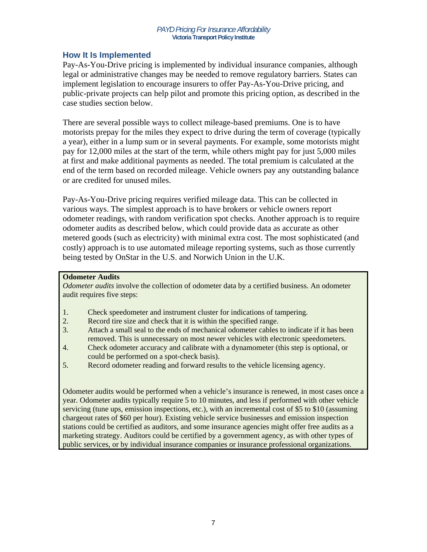# **How It Is Implemented**

Pay-As-You-Drive pricing is implemented by individual insurance companies, although legal or administrative changes may be needed to remove regulatory barriers. States can implement legislation to encourage insurers to offer Pay-As-You-Drive pricing, and public-private projects can help pilot and promote this pricing option, as described in the case studies section below.

There are several possible ways to collect mileage-based premiums. One is to have motorists prepay for the miles they expect to drive during the term of coverage (typically a year), either in a lump sum or in several payments. For example, some motorists might pay for 12,000 miles at the start of the term, while others might pay for just 5,000 miles at first and make additional payments as needed. The total premium is calculated at the end of the term based on recorded mileage. Vehicle owners pay any outstanding balance or are credited for unused miles.

Pay-As-You-Drive pricing requires verified mileage data. This can be collected in various ways. The simplest approach is to have brokers or vehicle owners report odometer readings, with random verification spot checks. Another approach is to require odometer audits as described below, which could provide data as accurate as other metered goods (such as electricity) with minimal extra cost. The most sophisticated (and costly) approach is to use automated mileage reporting systems, such as those currently being tested by OnStar in the U.S. and Norwich Union in the U.K.

# **Odometer Audits**

*Odometer audits* involve the collection of odometer data by a certified business. An odometer audit requires five steps:

- 1. Check speedometer and instrument cluster for indications of tampering.
- 2. Record tire size and check that it is within the specified range.
- 3. Attach a small seal to the ends of mechanical odometer cables to indicate if it has been removed. This is unnecessary on most newer vehicles with electronic speedometers.
- 4. Check odometer accuracy and calibrate with a dynamometer (this step is optional, or could be performed on a spot-check basis).
- 5. Record odometer reading and forward results to the vehicle licensing agency.

Odometer audits would be performed when a vehicle's insurance is renewed, in most cases once a year. Odometer audits typically require 5 to 10 minutes, and less if performed with other vehicle servicing (tune ups, emission inspections, etc.), with an incremental cost of \$5 to \$10 (assuming chargeout rates of \$60 per hour). Existing vehicle service businesses and emission inspection stations could be certified as auditors, and some insurance agencies might offer free audits as a marketing strategy. Auditors could be certified by a government agency, as with other types of public services, or by individual insurance companies or insurance professional organizations.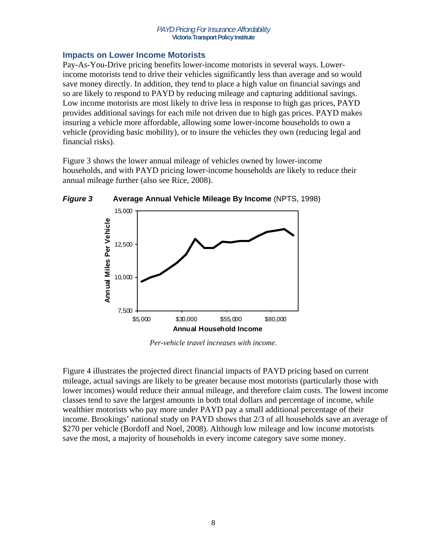# **Impacts on Lower Income Motorists**

Pay-As-You-Drive pricing benefits lower-income motorists in several ways. Lowerincome motorists tend to drive their vehicles significantly less than average and so would save money directly. In addition, they tend to place a high value on financial savings and so are likely to respond to PAYD by reducing mileage and capturing additional savings. Low income motorists are most likely to drive less in response to high gas prices, PAYD provides additional savings for each mile not driven due to high gas prices. PAYD makes insuring a vehicle more affordable, allowing some lower-income households to own a vehicle (providing basic mobility), or to insure the vehicles they own (reducing legal and financial risks).

Figure 3 shows the lower annual mileage of vehicles owned by lower-income households, and with PAYD pricing lower-income households are likely to reduce their annual mileage further (also see Rice, 2008).



*Per-vehicle travel increases with income.* 

Figure 4 illustrates the projected direct financial impacts of PAYD pricing based on current mileage, actual savings are likely to be greater because most motorists (particularly those with lower incomes) would reduce their annual mileage, and therefore claim costs. The lowest income classes tend to save the largest amounts in both total dollars and percentage of income, while wealthier motorists who pay more under PAYD pay a small additional percentage of their income. Brookings' national study on PAYD shows that 2/3 of all households save an average of \$270 per vehicle (Bordoff and Noel, 2008). Although low mileage and low income motorists save the most, a majority of households in every income category save some money.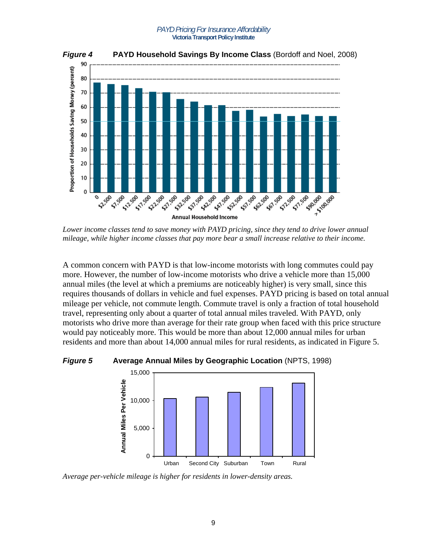

*Lower income classes tend to save money with PAYD pricing, since they tend to drive lower annual mileage, while higher income classes that pay more bear a small increase relative to their income.* 

A common concern with PAYD is that low-income motorists with long commutes could pay more. However, the number of low-income motorists who drive a vehicle more than 15,000 annual miles (the level at which a premiums are noticeably higher) is very small, since this requires thousands of dollars in vehicle and fuel expenses. PAYD pricing is based on total annual mileage per vehicle, not commute length. Commute travel is only a fraction of total household travel, representing only about a quarter of total annual miles traveled. With PAYD, only motorists who drive more than average for their rate group when faced with this price structure would pay noticeably more. This would be more than about 12,000 annual miles for urban residents and more than about 14,000 annual miles for rural residents, as indicated in Figure 5.

### *Figure 5* **Average Annual Miles by Geographic Location** (NPTS, 1998)



*Average per-vehicle mileage is higher for residents in lower-density areas.*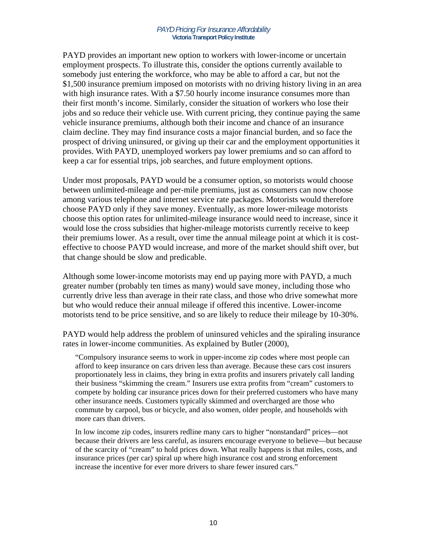PAYD provides an important new option to workers with lower-income or uncertain employment prospects. To illustrate this, consider the options currently available to somebody just entering the workforce, who may be able to afford a car, but not the \$1,500 insurance premium imposed on motorists with no driving history living in an area with high insurance rates. With a \$7.50 hourly income insurance consumes more than their first month's income. Similarly, consider the situation of workers who lose their jobs and so reduce their vehicle use. With current pricing, they continue paying the same vehicle insurance premiums, although both their income and chance of an insurance claim decline. They may find insurance costs a major financial burden, and so face the prospect of driving uninsured, or giving up their car and the employment opportunities it provides. With PAYD, unemployed workers pay lower premiums and so can afford to keep a car for essential trips, job searches, and future employment options.

Under most proposals, PAYD would be a consumer option, so motorists would choose between unlimited-mileage and per-mile premiums, just as consumers can now choose among various telephone and internet service rate packages. Motorists would therefore choose PAYD only if they save money. Eventually, as more lower-mileage motorists choose this option rates for unlimited-mileage insurance would need to increase, since it would lose the cross subsidies that higher-mileage motorists currently receive to keep their premiums lower. As a result, over time the annual mileage point at which it is costeffective to choose PAYD would increase, and more of the market should shift over, but that change should be slow and predicable.

Although some lower-income motorists may end up paying more with PAYD, a much greater number (probably ten times as many) would save money, including those who currently drive less than average in their rate class, and those who drive somewhat more but who would reduce their annual mileage if offered this incentive. Lower-income motorists tend to be price sensitive, and so are likely to reduce their mileage by 10-30%.

PAYD would help address the problem of uninsured vehicles and the spiraling insurance rates in lower-income communities. As explained by Butler (2000),

"Compulsory insurance seems to work in upper-income zip codes where most people can afford to keep insurance on cars driven less than average. Because these cars cost insurers proportionately less in claims, they bring in extra profits and insurers privately call landing their business "skimming the cream." Insurers use extra profits from "cream" customers to compete by holding car insurance prices down for their preferred customers who have many other insurance needs. Customers typically skimmed and overcharged are those who commute by carpool, bus or bicycle, and also women, older people, and households with more cars than drivers.

In low income zip codes, insurers redline many cars to higher "nonstandard" prices—not because their drivers are less careful, as insurers encourage everyone to believe—but because of the scarcity of "cream" to hold prices down. What really happens is that miles, costs, and insurance prices (per car) spiral up where high insurance cost and strong enforcement increase the incentive for ever more drivers to share fewer insured cars."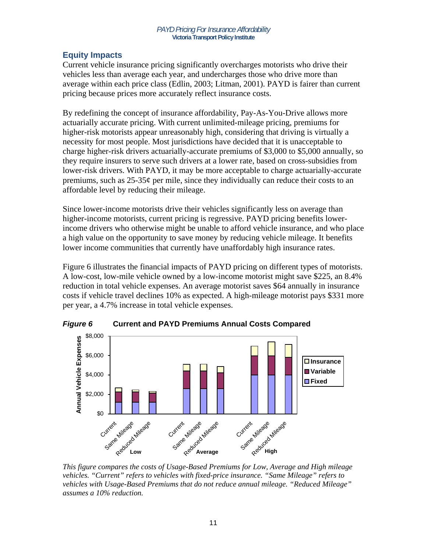# **Equity Impacts**

Current vehicle insurance pricing significantly overcharges motorists who drive their vehicles less than average each year, and undercharges those who drive more than average within each price class (Edlin, 2003; Litman, 2001). PAYD is fairer than current pricing because prices more accurately reflect insurance costs.

By redefining the concept of insurance affordability, Pay-As-You-Drive allows more actuarially accurate pricing. With current unlimited-mileage pricing, premiums for higher-risk motorists appear unreasonably high, considering that driving is virtually a necessity for most people. Most jurisdictions have decided that it is unacceptable to charge higher-risk drivers actuarially-accurate premiums of \$3,000 to \$5,000 annually, so they require insurers to serve such drivers at a lower rate, based on cross-subsidies from lower-risk drivers. With PAYD, it may be more acceptable to charge actuarially-accurate premiums, such as  $25-35¢$  per mile, since they individually can reduce their costs to an affordable level by reducing their mileage.

Since lower-income motorists drive their vehicles significantly less on average than higher-income motorists, current pricing is regressive. PAYD pricing benefits lowerincome drivers who otherwise might be unable to afford vehicle insurance, and who place a high value on the opportunity to save money by reducing vehicle mileage. It benefits lower income communities that currently have unaffordably high insurance rates.

Figure 6 illustrates the financial impacts of PAYD pricing on different types of motorists. A low-cost, low-mile vehicle owned by a low-income motorist might save \$225, an 8.4% reduction in total vehicle expenses. An average motorist saves \$64 annually in insurance costs if vehicle travel declines 10% as expected. A high-mileage motorist pays \$331 more per year, a 4.7% increase in total vehicle expenses.



*This figure compares the costs of Usage-Based Premiums for Low, Average and High mileage vehicles. "Current" refers to vehicles with fixed-price insurance. "Same Mileage" refers to vehicles with Usage-Based Premiums that do not reduce annual mileage. "Reduced Mileage" assumes a 10% reduction.*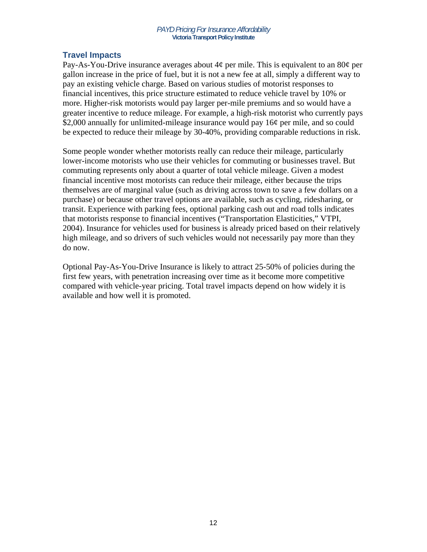# **Travel Impacts**

Pay-As-You-Drive insurance averages about  $4\phi$  per mile. This is equivalent to an 80 $\phi$  per gallon increase in the price of fuel, but it is not a new fee at all, simply a different way to pay an existing vehicle charge. Based on various studies of motorist responses to financial incentives, this price structure estimated to reduce vehicle travel by 10% or more. Higher-risk motorists would pay larger per-mile premiums and so would have a greater incentive to reduce mileage. For example, a high-risk motorist who currently pays \$2,000 annually for unlimited-mileage insurance would pay 16¢ per mile, and so could be expected to reduce their mileage by 30-40%, providing comparable reductions in risk.

Some people wonder whether motorists really can reduce their mileage, particularly lower-income motorists who use their vehicles for commuting or businesses travel. But commuting represents only about a quarter of total vehicle mileage. Given a modest financial incentive most motorists can reduce their mileage, either because the trips themselves are of marginal value (such as driving across town to save a few dollars on a purchase) or because other travel options are available, such as cycling, ridesharing, or transit. Experience with parking fees, optional parking cash out and road tolls indicates that motorists response to financial incentives ("Transportation Elasticities," VTPI, 2004). Insurance for vehicles used for business is already priced based on their relatively high mileage, and so drivers of such vehicles would not necessarily pay more than they do now.

Optional Pay-As-You-Drive Insurance is likely to attract 25-50% of policies during the first few years, with penetration increasing over time as it become more competitive compared with vehicle-year pricing. Total travel impacts depend on how widely it is available and how well it is promoted.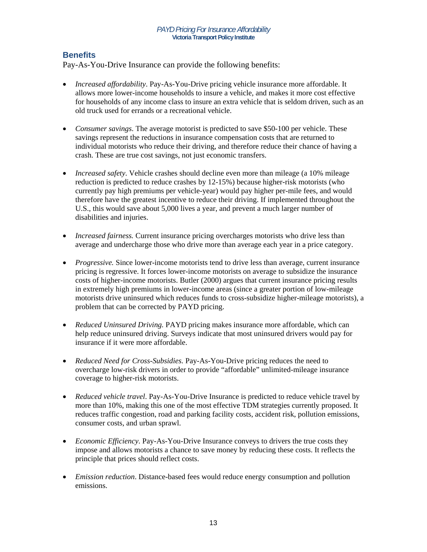# **Benefits**

Pay-As-You-Drive Insurance can provide the following benefits:

- *Increased affordability*. Pay-As-You-Drive pricing vehicle insurance more affordable. It allows more lower-income households to insure a vehicle, and makes it more cost effective for households of any income class to insure an extra vehicle that is seldom driven, such as an old truck used for errands or a recreational vehicle.
- *Consumer savings*. The average motorist is predicted to save \$50-100 per vehicle. These savings represent the reductions in insurance compensation costs that are returned to individual motorists who reduce their driving, and therefore reduce their chance of having a crash. These are true cost savings, not just economic transfers.
- *Increased safety*. Vehicle crashes should decline even more than mileage (a 10% mileage reduction is predicted to reduce crashes by 12-15%) because higher-risk motorists (who currently pay high premiums per vehicle-year) would pay higher per-mile fees, and would therefore have the greatest incentive to reduce their driving. If implemented throughout the U.S., this would save about 5,000 lives a year, and prevent a much larger number of disabilities and injuries.
- *Increased fairness*. Current insurance pricing overcharges motorists who drive less than average and undercharge those who drive more than average each year in a price category.
- *Progressive.* Since lower-income motorists tend to drive less than average, current insurance pricing is regressive. It forces lower-income motorists on average to subsidize the insurance costs of higher-income motorists. Butler (2000) argues that current insurance pricing results in extremely high premiums in lower-income areas (since a greater portion of low-mileage motorists drive uninsured which reduces funds to cross-subsidize higher-mileage motorists), a problem that can be corrected by PAYD pricing.
- *Reduced Uninsured Driving.* PAYD pricing makes insurance more affordable, which can help reduce uninsured driving. Surveys indicate that most uninsured drivers would pay for insurance if it were more affordable.
- *Reduced Need for Cross-Subsidies.* Pay-As-You-Drive pricing reduces the need to overcharge low-risk drivers in order to provide "affordable" unlimited-mileage insurance coverage to higher-risk motorists.
- *Reduced vehicle travel*. Pay-As-You-Drive Insurance is predicted to reduce vehicle travel by more than 10%, making this one of the most effective TDM strategies currently proposed. It reduces traffic congestion, road and parking facility costs, accident risk, pollution emissions, consumer costs, and urban sprawl.
- *Economic Efficiency*. Pay-As-You-Drive Insurance conveys to drivers the true costs they impose and allows motorists a chance to save money by reducing these costs. It reflects the principle that prices should reflect costs.
- *Emission reduction*. Distance-based fees would reduce energy consumption and pollution emissions.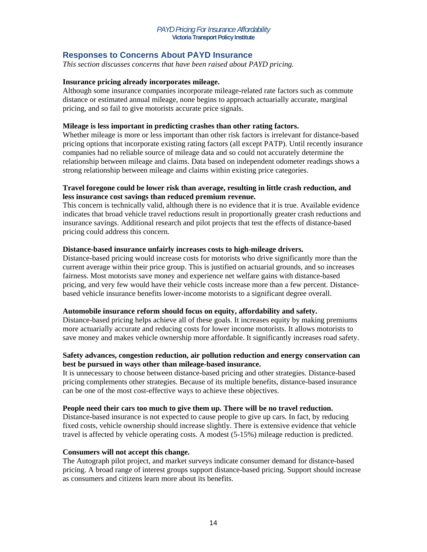# **Responses to Concerns About PAYD Insurance**

*This section discusses concerns that have been raised about PAYD pricing.* 

### **Insurance pricing already incorporates mileage.**

Although some insurance companies incorporate mileage-related rate factors such as commute distance or estimated annual mileage, none begins to approach actuarially accurate, marginal pricing, and so fail to give motorists accurate price signals.

### **Mileage is less important in predicting crashes than other rating factors.**

Whether mileage is more or less important than other risk factors is irrelevant for distance-based pricing options that incorporate existing rating factors (all except PATP). Until recently insurance companies had no reliable source of mileage data and so could not accurately determine the relationship between mileage and claims. Data based on independent odometer readings shows a strong relationship between mileage and claims within existing price categories.

### **Travel foregone could be lower risk than average, resulting in little crash reduction, and less insurance cost savings than reduced premium revenue.**

This concern is technically valid, although there is no evidence that it is true. Available evidence indicates that broad vehicle travel reductions result in proportionally greater crash reductions and insurance savings. Additional research and pilot projects that test the effects of distance-based pricing could address this concern.

### **Distance-based insurance unfairly increases costs to high-mileage drivers.**

Distance-based pricing would increase costs for motorists who drive significantly more than the current average within their price group. This is justified on actuarial grounds, and so increases fairness. Most motorists save money and experience net welfare gains with distance-based pricing, and very few would have their vehicle costs increase more than a few percent. Distancebased vehicle insurance benefits lower-income motorists to a significant degree overall.

### **Automobile insurance reform should focus on equity, affordability and safety.**

Distance-based pricing helps achieve all of these goals. It increases equity by making premiums more actuarially accurate and reducing costs for lower income motorists. It allows motorists to save money and makes vehicle ownership more affordable. It significantly increases road safety.

### **Safety advances, congestion reduction, air pollution reduction and energy conservation can best be pursued in ways other than mileage-based insurance.**

It is unnecessary to choose between distance-based pricing and other strategies. Distance-based pricing complements other strategies. Because of its multiple benefits, distance-based insurance can be one of the most cost-effective ways to achieve these objectives.

### **People need their cars too much to give them up. There will be no travel reduction.**

Distance-based insurance is not expected to cause people to give up cars. In fact, by reducing fixed costs, vehicle ownership should increase slightly. There is extensive evidence that vehicle travel is affected by vehicle operating costs. A modest (5-15%) mileage reduction is predicted.

### **Consumers will not accept this change.**

The Autograph pilot project, and market surveys indicate consumer demand for distance-based pricing. A broad range of interest groups support distance-based pricing. Support should increase as consumers and citizens learn more about its benefits.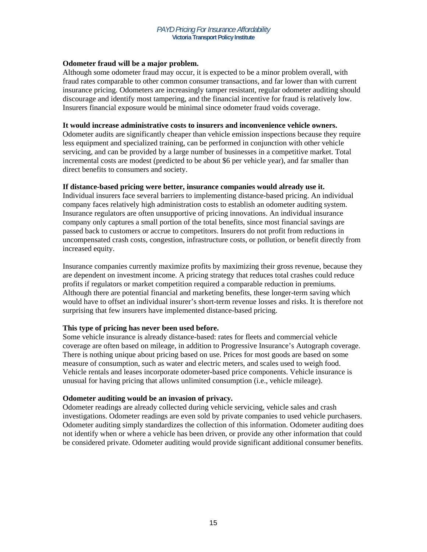### **Odometer fraud will be a major problem.**

Although some odometer fraud may occur, it is expected to be a minor problem overall, with fraud rates comparable to other common consumer transactions, and far lower than with current insurance pricing. Odometers are increasingly tamper resistant, regular odometer auditing should discourage and identify most tampering, and the financial incentive for fraud is relatively low. Insurers financial exposure would be minimal since odometer fraud voids coverage.

#### **It would increase administrative costs to insurers and inconvenience vehicle owners.**

Odometer audits are significantly cheaper than vehicle emission inspections because they require less equipment and specialized training, can be performed in conjunction with other vehicle servicing, and can be provided by a large number of businesses in a competitive market. Total incremental costs are modest (predicted to be about \$6 per vehicle year), and far smaller than direct benefits to consumers and society.

### **If distance-based pricing were better, insurance companies would already use it.**

Individual insurers face several barriers to implementing distance-based pricing. An individual company faces relatively high administration costs to establish an odometer auditing system. Insurance regulators are often unsupportive of pricing innovations. An individual insurance company only captures a small portion of the total benefits, since most financial savings are passed back to customers or accrue to competitors. Insurers do not profit from reductions in uncompensated crash costs, congestion, infrastructure costs, or pollution, or benefit directly from increased equity.

Insurance companies currently maximize profits by maximizing their gross revenue, because they are dependent on investment income. A pricing strategy that reduces total crashes could reduce profits if regulators or market competition required a comparable reduction in premiums. Although there are potential financial and marketing benefits, these longer-term saving which would have to offset an individual insurer's short-term revenue losses and risks. It is therefore not surprising that few insurers have implemented distance-based pricing.

### **This type of pricing has never been used before.**

Some vehicle insurance is already distance-based: rates for fleets and commercial vehicle coverage are often based on mileage, in addition to Progressive Insurance's Autograph coverage. There is nothing unique about pricing based on use. Prices for most goods are based on some measure of consumption, such as water and electric meters, and scales used to weigh food. Vehicle rentals and leases incorporate odometer-based price components. Vehicle insurance is unusual for having pricing that allows unlimited consumption (i.e., vehicle mileage).

### **Odometer auditing would be an invasion of privacy.**

Odometer readings are already collected during vehicle servicing, vehicle sales and crash investigations. Odometer readings are even sold by private companies to used vehicle purchasers. Odometer auditing simply standardizes the collection of this information. Odometer auditing does not identify when or where a vehicle has been driven, or provide any other information that could be considered private. Odometer auditing would provide significant additional consumer benefits.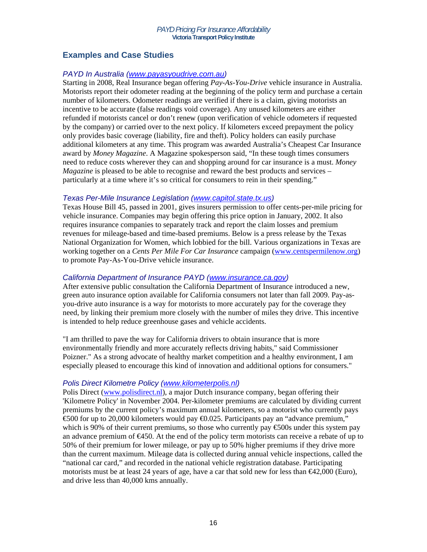# **Examples and Case Studies**

# *PAYD In Australia (www.payasyoudrive.com.au)*

Starting in 2008, Real Insurance began offering *Pay-As-You-Drive* vehicle insurance in Australia. Motorists report their odometer reading at the beginning of the policy term and purchase a certain number of kilometers. Odometer readings are verified if there is a claim, giving motorists an incentive to be accurate (false readings void coverage). Any unused kilometers are either refunded if motorists cancel or don't renew (upon verification of vehicle odometers if requested by the company) or carried over to the next policy. If kilometers exceed prepayment the policy only provides basic coverage (liability, fire and theft). Policy holders can easily purchase additional kilometers at any time. This program was awarded Australia's Cheapest Car Insurance award by *Money Magazine*. A Magazine spokesperson said, "In these tough times consumers need to reduce costs wherever they can and shopping around for car insurance is a must. *Money Magazine* is pleased to be able to recognise and reward the best products and services – particularly at a time where it's so critical for consumers to rein in their spending."

# *Texas Per-Mile Insurance Legislation (www.capitol.state.tx.us)*

Texas House Bill 45, passed in 2001, gives insurers permission to offer cents-per-mile pricing for vehicle insurance. Companies may begin offering this price option in January, 2002. It also requires insurance companies to separately track and report the claim losses and premium revenues for mileage-based and time-based premiums. Below is a press release by the Texas National Organization for Women, which lobbied for the bill. Various organizations in Texas are working together on a *Cents Per Mile For Car Insurance* campaign (www.centspermilenow.org) to promote Pay-As-You-Drive vehicle insurance.

# *California Department of Insurance PAYD (www.insurance.ca.gov)*

After extensive public consultation the California Department of Insurance introduced a new, green auto insurance option available for California consumers not later than fall 2009. Pay-asyou-drive auto insurance is a way for motorists to more accurately pay for the coverage they need, by linking their premium more closely with the number of miles they drive. This incentive is intended to help reduce greenhouse gases and vehicle accidents.

"I am thrilled to pave the way for California drivers to obtain insurance that is more environmentally friendly and more accurately reflects driving habits," said Commissioner Poizner." As a strong advocate of healthy market competition and a healthy environment, I am especially pleased to encourage this kind of innovation and additional options for consumers."

### *Polis Direct Kilometre Policy (www.kilometerpolis.nl)*

Polis Direct (www.polisdirect.nl), a major Dutch insurance company, began offering their 'Kilometre Policy' in November 2004. Per-kilometer premiums are calculated by dividing current premiums by the current policy's maximum annual kilometers, so a motorist who currently pays €500 for up to 20,000 kilometers would pay €0.025. Participants pay an "advance premium," which is 90% of their current premiums, so those who currently pay  $\epsilon$ 500s under this system pay an advance premium of  $\epsilon$ 450. At the end of the policy term motorists can receive a rebate of up to 50% of their premium for lower mileage, or pay up to 50% higher premiums if they drive more than the current maximum. Mileage data is collected during annual vehicle inspections, called the "national car card," and recorded in the national vehicle registration database. Participating motorists must be at least 24 years of age, have a car that sold new for less than  $\epsilon 42,000$  (Euro), and drive less than 40,000 kms annually.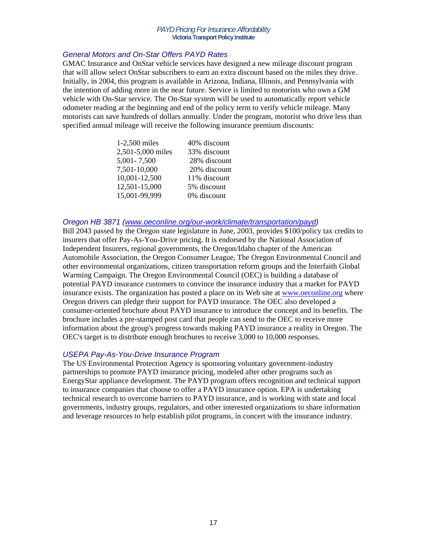# *General Motors and On-Star Offers PAYD Rates*

GMAC Insurance and OnStar vehicle services have designed a new mileage discount program that will allow select OnStar subscribers to earn an extra discount based on the miles they drive. Initially, in 2004, this program is available in Arizona, Indiana, Illinois, and Pennsylvania with the intention of adding more in the near future. Service is limited to motorists who own a GM vehicle with On-Star service. The On-Star system will be used to automatically report vehicle odometer reading at the beginning and end of the policy term to verify vehicle mileage. Many motorists can save hundreds of dollars annually. Under the program, motorist who drive less than specified annual mileage will receive the following insurance premium discounts:

| 1-2,500 miles     | 40% discount |
|-------------------|--------------|
| 2,501-5,000 miles | 33% discount |
| 5,001 - 7,500     | 28% discount |
| 7,501-10,000      | 20% discount |
| 10,001-12,500     | 11% discount |
| 12,501-15,000     | 5% discount  |
| 15,001-99,999     | 0% discount  |

### *Oregon HB 3871 (www.oeconline.org/our-work/climate/transportation/payd)*

Bill 2043 passed by the Oregon state legislature in June, 2003, provides \$100/policy tax credits to insurers that offer Pay-As-You-Drive pricing. It is endorsed by the National Association of Independent Insurers, regional governments, the Oregon/Idaho chapter of the American Automobile Association, the Oregon Consumer League, The Oregon Environmental Council and other environmental organizations, citizen transportation reform groups and the Interfaith Global Warming Campaign. The Oregon Environmental Council (OEC) is building a database of potential PAYD insurance customers to convince the insurance industry that a market for PAYD insurance exists. The organization has posted a place on its Web site at www.oeconline.org where Oregon drivers can pledge their support for PAYD insurance. The OEC also developed a consumer-oriented brochure about PAYD insurance to introduce the concept and its benefits. The brochure includes a pre-stamped post card that people can send to the OEC to receive more information about the group's progress towards making PAYD insurance a reality in Oregon. The OEC's target is to distribute enough brochures to receive 3,000 to 10,000 responses.

### *USEPA Pay-As-You-Drive Insurance Program*

The US Environmental Protection Agency is sponsoring voluntary government-industry partnerships to promote PAYD insurance pricing, modeled after other programs such as EnergyStar appliance development. The PAYD program offers recognition and technical support to insurance companies that choose to offer a PAYD insurance option. EPA is undertaking technical research to overcome barriers to PAYD insurance, and is working with state and local governments, industry groups, regulators, and other interested organizations to share information and leverage resources to help establish pilot programs, in concert with the insurance industry.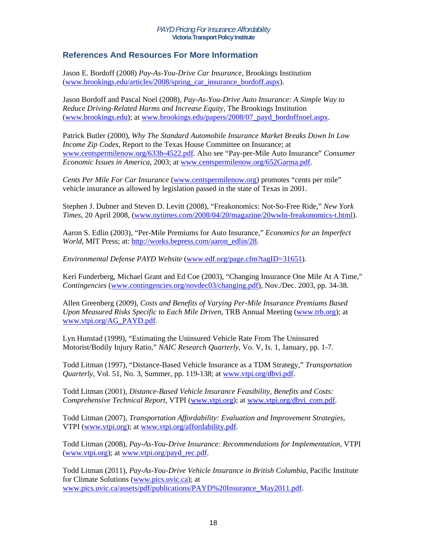# **References And Resources For More Information**

Jason E. Bordoff (2008) *Pay-As-You-Drive Car Insurance*, Brookings Institution (www.brookings.edu/articles/2008/spring\_car\_insurance\_bordoff.aspx).

Jason Bordoff and Pascal Noel (2008), *Pay-As-You-Drive Auto Insurance: A Simple Way to Reduce Driving-Related Harms and Increase Equity*, The Brookings Institution (www.brookings.edu); at www.brookings.edu/papers/2008/07\_payd\_bordoffnoel.aspx.

Patrick Butler (2000), *Why The Standard Automobile Insurance Market Breaks Down In Low Income Zip Codes*, Report to the Texas House Committee on Insurance; at www.centspermilenow.org/633b-4522.pdf. Also see "Pay-per-Mile Auto Insurance" *Consumer Economic Issues in America*, 2003; at www.centspermilenow.org/652Garma.pdf.

*Cents Per Mile For Car Insurance* (www.centspermilenow.org) promotes "cents per mile" vehicle insurance as allowed by legislation passed in the state of Texas in 2001.

Stephen J. Dubner and Steven D. Levitt (2008), "Freakonomics: Not-So-Free Ride," *New York Times*, 20 April 2008, (www.nytimes.com/2008/04/20/magazine/20wwln-freakonomics-t.html).

Aaron S. Edlin (2003), "Per-Mile Premiums for Auto Insurance," *Economics for an Imperfect World*, MIT Press; at: http://works.bepress.com/aaron\_edlin/28.

*Environmental Defense PAYD Website* (www.edf.org/page.cfm?tagID=31651).

Keri Funderberg, Michael Grant and Ed Coe (2003), "Changing Insurance One Mile At A Time," *Contingencies* (www.contingencies.org/novdec03/changing.pdf), Nov./Dec. 2003, pp. 34-38.

Allen Greenberg (2009), *Costs and Benefits of Varying Per-Mile Insurance Premiums Based Upon Measured Risks Specific to Each Mile Driven*, TRB Annual Meeting (www.trb.org); at www.vtpi.org/AG\_PAYD.pdf.

Lyn Hunstad (1999), "Estimating the Uninsured Vehicle Rate From The Uninsured Motorist/Bodily Injury Ratio," *NAIC Research Quarterly*, Vo. V, Is. 1, January, pp. 1-7.

Todd Litman (1997), "Distance-Based Vehicle Insurance as a TDM Strategy," *Transportation Quarterly*, Vol. 51, No. 3, Summer, pp. 119-138; at www.vtpi.org/dbvi.pdf.

Todd Litman (2001), *Distance-Based Vehicle Insurance Feasibility, Benefits and Costs: Comprehensive Technical Report*, VTPI (www.vtpi.org); at www.vtpi.org/dbvi\_com.pdf.

Todd Litman (2007), *Transportation Affordability: Evaluation and Improvement Strategies*, VTPI (www.vtpi.org); at www.vtpi.org/affordability.pdf.

Todd Litman (2008), *Pay-As-You-Drive Insurance: Recommendations for Implementation*, VTPI (www.vtpi.org); at www.vtpi.org/payd\_rec.pdf.

Todd Litman (2011), *Pay-As-You-Drive Vehicle Insurance in British Columbia*, Pacific Institute for Climate Solutions (www.pics.uvic.ca); at www.pics.uvic.ca/assets/pdf/publications/PAYD%20Insurance\_May2011.pdf.